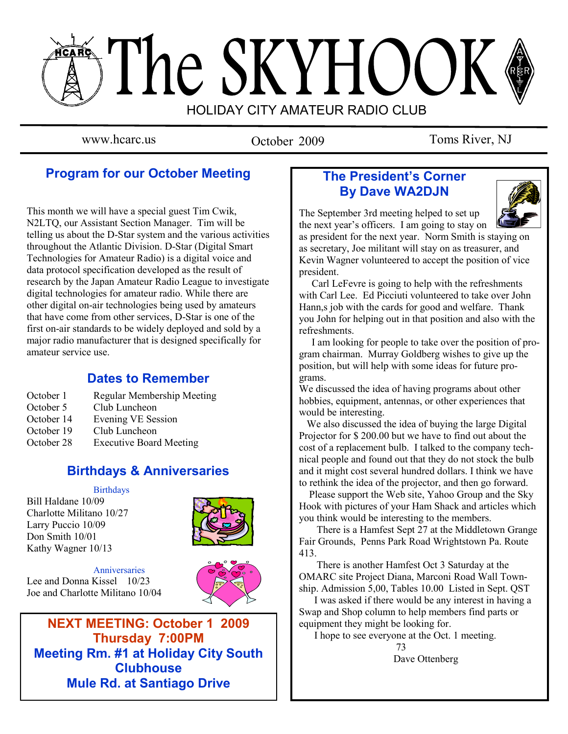# The SKYHOOK HOLIDAY CITY AMATEUR RADIO CLUB

October 2009

www.hcarc.us October 2009 Toms River, NJ

# **Program for our October Meeting**

This month we will have a special guest Tim Cwik, N2LTQ, our Assistant Section Manager. Tim will be telling us about the D-Star system and the various activities throughout the Atlantic Division. D-Star (Digital Smart Technologies for Amateur Radio) is a digital voice and data protocol specification developed as the result of research by the Japan Amateur Radio League to investigate digital technologies for amateur radio. While there are other digital on-air technologies being used by amateurs that have come from other services, D-Star is one of the first on-air standards to be widely deployed and sold by a major radio manufacturer that is designed specifically for amateur service use.

# **Dates to Remember**

- October 1 Regular Membership Meeting
- October 5 Club Luncheon
- October 14 Evening VE Session
- October 19 Club Luncheon
- October 28 Executive Board Meeting

# **Birthdays & Anniversaries**

Birthdays Bill Haldane 10/09 Charlotte Militano 10/27 Larry Puccio 10/09 Don Smith 10/01 Kathy Wagner 10/13



**Anniversaries** Lee and Donna Kissel 10/23 Joe and Charlotte Militano 10/04



**NEXT MEETING: October 1 2009 Thursday 7:00PM Meeting Rm. #1 at Holiday City South Clubhouse Mule Rd. at Santiago Drive**

# **The President's Corner By Dave WA2DJN**

The September 3rd meeting helped to set up the next year"s officers. I am going to stay on



as president for the next year. Norm Smith is staying on as secretary, Joe militant will stay on as treasurer, and Kevin Wagner volunteered to accept the position of vice president.

 Carl LeFevre is going to help with the refreshments with Carl Lee. Ed Picciuti volunteered to take over John Hann,s job with the cards for good and welfare. Thank you John for helping out in that position and also with the refreshments.

 I am looking for people to take over the position of program chairman. Murray Goldberg wishes to give up the position, but will help with some ideas for future programs.

We discussed the idea of having programs about other hobbies, equipment, antennas, or other experiences that would be interesting.

 We also discussed the idea of buying the large Digital Projector for \$ 200.00 but we have to find out about the cost of a replacement bulb. I talked to the company technical people and found out that they do not stock the bulb and it might cost several hundred dollars. I think we have to rethink the idea of the projector, and then go forward.

 Please support the Web site, Yahoo Group and the Sky Hook with pictures of your Ham Shack and articles which you think would be interesting to the members.

 There is a Hamfest Sept 27 at the Middletown Grange Fair Grounds, Penns Park Road Wrightstown Pa. Route 413.

 There is another Hamfest Oct 3 Saturday at the OMARC site Project Diana, Marconi Road Wall Township. Admission 5,00, Tables 10.00 Listed in Sept. QST

 I was asked if there would be any interest in having a Swap and Shop column to help members find parts or equipment they might be looking for.

I hope to see everyone at the Oct. 1 meeting.

 73 Dave Ottenberg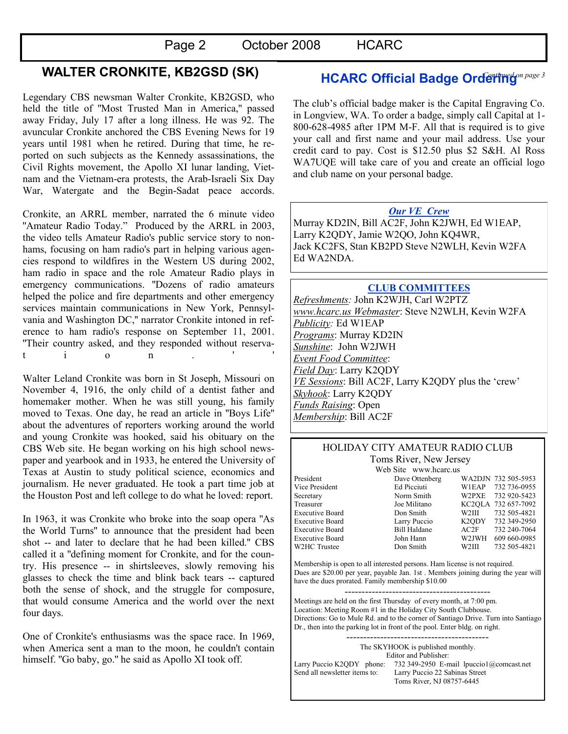# Page 2 October 2008 HCARC

# **WALTER CRONKITE, KB2GSD (SK)**

Legendary CBS newsman Walter Cronkite, KB2GSD, who held the title of ''Most Trusted Man in America,'' passed away Friday, July 17 after a long illness. He was 92. The avuncular Cronkite anchored the CBS Evening News for 19 years until 1981 when he retired. During that time, he reported on such subjects as the Kennedy assassinations, the Civil Rights movement, the Apollo XI lunar landing, Vietnam and the Vietnam-era protests, the Arab-Israeli Six Day War, Watergate and the Begin-Sadat peace accords.

Cronkite, an ARRL member, narrated the 6 minute video "Amateur Radio Today." Produced by the ARRL in 2003, the video tells Amateur Radio's public service story to nonhams, focusing on ham radio's part in helping various agencies respond to wildfires in the Western US during 2002, ham radio in space and the role Amateur Radio plays in emergency communications. ''Dozens of radio amateurs helped the police and fire departments and other emergency services maintain communications in New York, Pennsylvania and Washington DC,'' narrator Cronkite intoned in reference to ham radio's response on September 11, 2001. ''Their country asked, and they responded without reservat i o n . ' '

Walter Leland Cronkite was born in St Joseph, Missouri on November 4, 1916, the only child of a dentist father and homemaker mother. When he was still young, his family moved to Texas. One day, he read an article in ''Boys Life'' about the adventures of reporters working around the world and young Cronkite was hooked, said his obituary on the CBS Web site. He began working on his high school newspaper and yearbook and in 1933, he entered the University of Texas at Austin to study political science, economics and journalism. He never graduated. He took a part time job at the Houston Post and left college to do what he loved: report.

In 1963, it was Cronkite who broke into the soap opera ''As the World Turns'' to announce that the president had been shot -- and later to declare that he had been killed.'' CBS called it a ''defining moment for Cronkite, and for the country. His presence -- in shirtsleeves, slowly removing his glasses to check the time and blink back tears -- captured both the sense of shock, and the struggle for composure, that would consume America and the world over the next four days.

One of Cronkite's enthusiasms was the space race. In 1969, when America sent a man to the moon, he couldn't contain himself. ''Go baby, go.'' he said as Apollo XI took off.

# **HCARC Official Badge Ordering**on page 3

The club"s official badge maker is the Capital Engraving Co. in Longview, WA. To order a badge, simply call Capital at 1- 800-628-4985 after 1PM M-F. All that is required is to give your call and first name and your mail address. Use your credit card to pay. Cost is \$12.50 plus \$2 S&H. Al Ross WA7UQE will take care of you and create an official logo and club name on your personal badge.

#### *Our VE Crew*

Murray KD2IN, Bill AC2F, John K2JWH, Ed W1EAP, Larry K2QDY, Jamie W2QO, John KQ4WR, Jack KC2FS, Stan KB2PD Steve N2WLH, Kevin W2FA Ed WA2NDA.

#### **CLUB COMMITTEES** *Refreshments:* John K2WJH, Carl W2PTZ *www.hcarc.us Webmaster*: Steve N2WLH, Kevin W2FA *Publicity:* Ed W1EAP *Programs*: Murray KD2IN *Sunshine*: John W2JWH *Event Food Committee*: *Field Day*: Larry K2QDY *VE Sessions*: Bill AC2F, Larry K2QDY plus the "crew" *Skyhook*: Larry K2QDY *Funds Raising*: Open *Membership*: Bill AC2F

#### HOLIDAY CITY AMATEUR RADIO CLUB Toms River, New Jersey

Web Site www.hcarc.us<br>Dave Ottenberg President Dave Ottenberg WA2DJN 732 505-5953 Vice President Ed Picciuti W1EAP 732 736-0955 Secretary Norm Smith W2PXE 732 920-5423 Treasurer Joe Militano KC2QLA 732 657-7092 Executive Board Don Smith W2III 732 505-4821 Executive Board Larry Puccio K2QDY 732 349-2950 Executive Board Bill Haldane AC2F 732 240-7064 Executive Board John Hann W2JWH 609 660-0985 W2HC Trustee  $\sim$  Don Smith W2III 732 505-4821

Membership is open to all interested persons. Ham license is not required. Dues are \$20.00 per year, payable Jan. 1st . Members joining during the year will have the dues prorated. Family membership \$10.00

------------------------------------------- Meetings are held on the first Thursday of every month, at 7:00 pm. Location: Meeting Room #1 in the Holiday City South Clubhouse. Directions: Go to Mule Rd. and to the corner of Santiago Drive. Turn into Santiago Dr., then into the parking lot in front of the pool. Enter bldg. on right.

The SKYHOOK is published monthly. Editor and Publisher: Larry Puccio K2QDY phone: 732 349-2950 E-mail lpuccio1@comcast.net<br>Send all newsletter items to: Larry Puccio 22 Sabinas Street Larry Puccio 22 Sabinas Street Toms River, NJ 08757-6445

------------------------------------------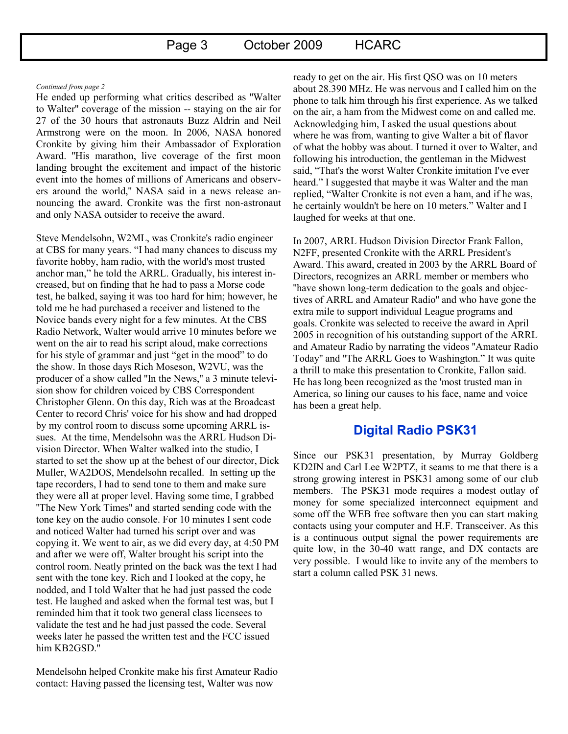#### *Continued from page 2*

He ended up performing what critics described as ''Walter to Walter'' coverage of the mission -- staying on the air for 27 of the 30 hours that astronauts Buzz Aldrin and Neil Armstrong were on the moon. In 2006, NASA honored Cronkite by giving him their Ambassador of Exploration Award. ''His marathon, live coverage of the first moon landing brought the excitement and impact of the historic event into the homes of millions of Americans and observers around the world,'' NASA said in a news release announcing the award. Cronkite was the first non-astronaut and only NASA outsider to receive the award.

Steve Mendelsohn, W2ML, was Cronkite's radio engineer at CBS for many years. "I had many chances to discuss my favorite hobby, ham radio, with the world's most trusted anchor man," he told the ARRL. Gradually, his interest increased, but on finding that he had to pass a Morse code test, he balked, saying it was too hard for him; however, he told me he had purchased a receiver and listened to the Novice bands every night for a few minutes. At the CBS Radio Network, Walter would arrive 10 minutes before we went on the air to read his script aloud, make corrections for his style of grammar and just "get in the mood" to do the show. In those days Rich Moseson, W2VU, was the producer of a show called ''In the News,'' a 3 minute television show for children voiced by CBS Correspondent Christopher Glenn. On this day, Rich was at the Broadcast Center to record Chris' voice for his show and had dropped by my control room to discuss some upcoming ARRL issues. At the time, Mendelsohn was the ARRL Hudson Division Director. When Walter walked into the studio, I started to set the show up at the behest of our director, Dick Muller, WA2DOS, Mendelsohn recalled. In setting up the tape recorders, I had to send tone to them and make sure they were all at proper level. Having some time, I grabbed ''The New York Times'' and started sending code with the tone key on the audio console. For 10 minutes I sent code and noticed Walter had turned his script over and was copying it. We went to air, as we did every day, at 4:50 PM and after we were off, Walter brought his script into the control room. Neatly printed on the back was the text I had sent with the tone key. Rich and I looked at the copy, he nodded, and I told Walter that he had just passed the code test. He laughed and asked when the formal test was, but I reminded him that it took two general class licensees to validate the test and he had just passed the code. Several weeks later he passed the written test and the FCC issued him KB2GSD.''

Mendelsohn helped Cronkite make his first Amateur Radio contact: Having passed the licensing test, Walter was now

ready to get on the air. His first QSO was on 10 meters about 28.390 MHz. He was nervous and I called him on the phone to talk him through his first experience. As we talked on the air, a ham from the Midwest come on and called me. Acknowledging him, I asked the usual questions about where he was from, wanting to give Walter a bit of flavor of what the hobby was about. I turned it over to Walter, and following his introduction, the gentleman in the Midwest said, "That's the worst Walter Cronkite imitation I've ever heard." I suggested that maybe it was Walter and the man replied, "Walter Cronkite is not even a ham, and if he was, he certainly wouldn't be here on 10 meters." Walter and I laughed for weeks at that one.

In 2007, ARRL Hudson Division Director Frank Fallon, N2FF, presented Cronkite with the ARRL President's Award. This award, created in 2003 by the ARRL Board of Directors, recognizes an ARRL member or members who ''have shown long-term dedication to the goals and objectives of ARRL and Amateur Radio'' and who have gone the extra mile to support individual League programs and goals. Cronkite was selected to receive the award in April 2005 in recognition of his outstanding support of the ARRL and Amateur Radio by narrating the videos ''Amateur Radio Today'' and ''The ARRL Goes to Washington." It was quite a thrill to make this presentation to Cronkite, Fallon said. He has long been recognized as the 'most trusted man in America, so lining our causes to his face, name and voice has been a great help.

#### **Digital Radio PSK31**

Since our PSK31 presentation, by Murray Goldberg KD2IN and Carl Lee W2PTZ, it seams to me that there is a strong growing interest in PSK31 among some of our club members. The PSK31 mode requires a modest outlay of money for some specialized interconnect equipment and some off the WEB free software then you can start making contacts using your computer and H.F. Transceiver. As this is a continuous output signal the power requirements are quite low, in the 30-40 watt range, and DX contacts are very possible. I would like to invite any of the members to start a column called PSK 31 news.